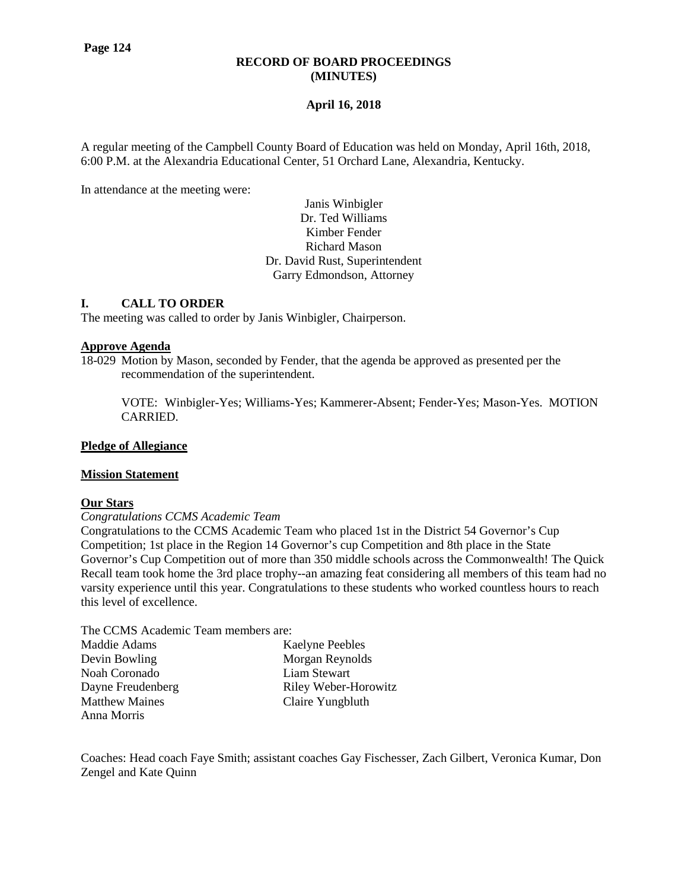#### **RECORD OF BOARD PROCEEDINGS (MINUTES)**

## **April 16, 2018**

A regular meeting of the Campbell County Board of Education was held on Monday, April 16th, 2018, 6:00 P.M. at the Alexandria Educational Center, 51 Orchard Lane, Alexandria, Kentucky.

In attendance at the meeting were:

Janis Winbigler Dr. Ted Williams Kimber Fender Richard Mason Dr. David Rust, Superintendent Garry Edmondson, Attorney

## **I. CALL TO ORDER**

The meeting was called to order by Janis Winbigler, Chairperson.

#### **Approve Agenda**

18-029 Motion by Mason, seconded by Fender, that the agenda be approved as presented per the recommendation of the superintendent.

VOTE: Winbigler-Yes; Williams-Yes; Kammerer-Absent; Fender-Yes; Mason-Yes. MOTION CARRIED.

#### **Pledge of Allegiance**

#### **Mission Statement**

#### **Our Stars**

#### *Congratulations CCMS Academic Team*

Congratulations to the CCMS Academic Team who placed 1st in the District 54 Governor's Cup Competition; 1st place in the Region 14 Governor's cup Competition and 8th place in the State Governor's Cup Competition out of more than 350 middle schools across the Commonwealth! The Quick Recall team took home the 3rd place trophy--an amazing feat considering all members of this team had no varsity experience until this year. Congratulations to these students who worked countless hours to reach this level of excellence.

The CCMS Academic Team members are:

| Maddie Adams          | <b>Kaelyne Peebles</b> |
|-----------------------|------------------------|
| Devin Bowling         | Morgan Reynolds        |
| Noah Coronado         | Liam Stewart           |
| Dayne Freudenberg     | Riley Weber-Horowitz   |
| <b>Matthew Maines</b> | Claire Yungbluth       |
| Anna Morris           |                        |

Coaches: Head coach Faye Smith; assistant coaches Gay Fischesser, Zach Gilbert, Veronica Kumar, Don Zengel and Kate Quinn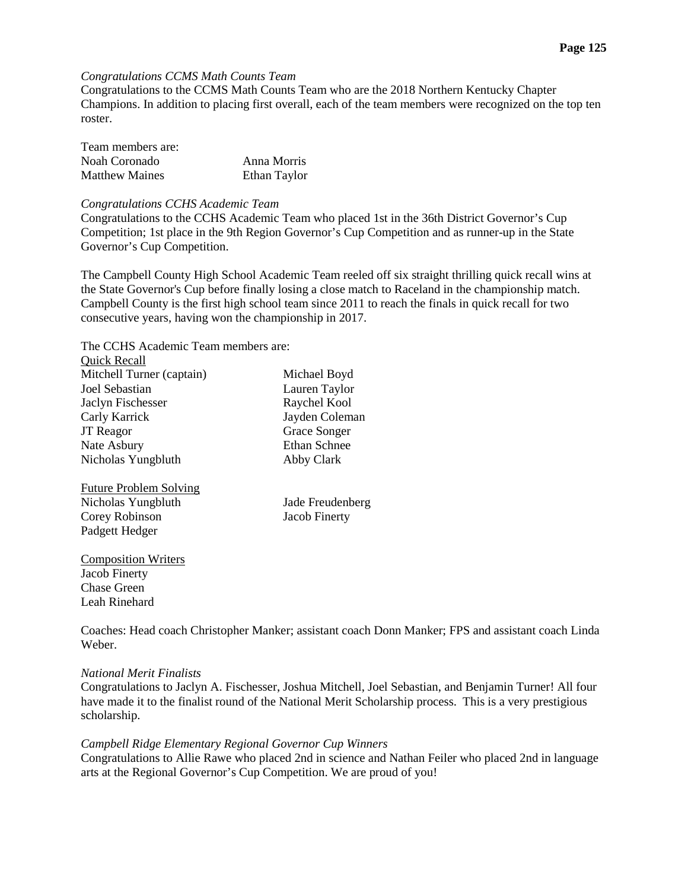#### **Page 125**

#### *Congratulations CCMS Math Counts Team*

Congratulations to the CCMS Math Counts Team who are the 2018 Northern Kentucky Chapter Champions. In addition to placing first overall, each of the team members were recognized on the top ten roster.

| Team members are:     |              |
|-----------------------|--------------|
| Noah Coronado         | Anna Morris  |
| <b>Matthew Maines</b> | Ethan Taylor |

#### *Congratulations CCHS Academic Team*

Congratulations to the CCHS Academic Team who placed 1st in the 36th District Governor's Cup Competition; 1st place in the 9th Region Governor's Cup Competition and as runner-up in the State Governor's Cup Competition.

The Campbell County High School Academic Team reeled off six straight thrilling quick recall wins at the State Governor's Cup before finally losing a close match to Raceland in the championship match. Campbell County is the first high school team since 2011 to reach the finals in quick recall for two consecutive years, having won the championship in 2017.

The CCHS Academic Team members are:  $Q_{\text{rel}}$  (defined  $R_{\text{rel}}$ ) and  $R_{\text{rel}}$ 

| <b>QUICK Recall</b>           |                     |
|-------------------------------|---------------------|
| Mitchell Turner (captain)     | Michael Boyd        |
| Joel Sebastian                | Lauren Taylor       |
| Jaclyn Fischesser             | Raychel Kool        |
| Carly Karrick                 | Jayden Coleman      |
| <b>JT</b> Reagor              | Grace Songer        |
| Nate Asbury                   | <b>Ethan Schnee</b> |
| Nicholas Yungbluth            | Abby Clark          |
| <b>Future Problem Solving</b> |                     |
| Nicholas Yungbluth            | Jade Freudenberg    |
| Corey Robinson                | Jacob Finerty       |
| Padgett Hedger                |                     |
| <b>Composition Writers</b>    |                     |
| Jacob Finerty                 |                     |
| Chase Green                   |                     |

Coaches: Head coach Christopher Manker; assistant coach Donn Manker; FPS and assistant coach Linda Weber.

#### *National Merit Finalists*

Leah Rinehard

Congratulations to Jaclyn A. Fischesser, Joshua Mitchell, Joel Sebastian, and Benjamin Turner! All four have made it to the finalist round of the National Merit Scholarship process. This is a very prestigious scholarship.

#### *Campbell Ridge Elementary Regional Governor Cup Winners*

Congratulations to Allie Rawe who placed 2nd in science and Nathan Feiler who placed 2nd in language arts at the Regional Governor's Cup Competition. We are proud of you!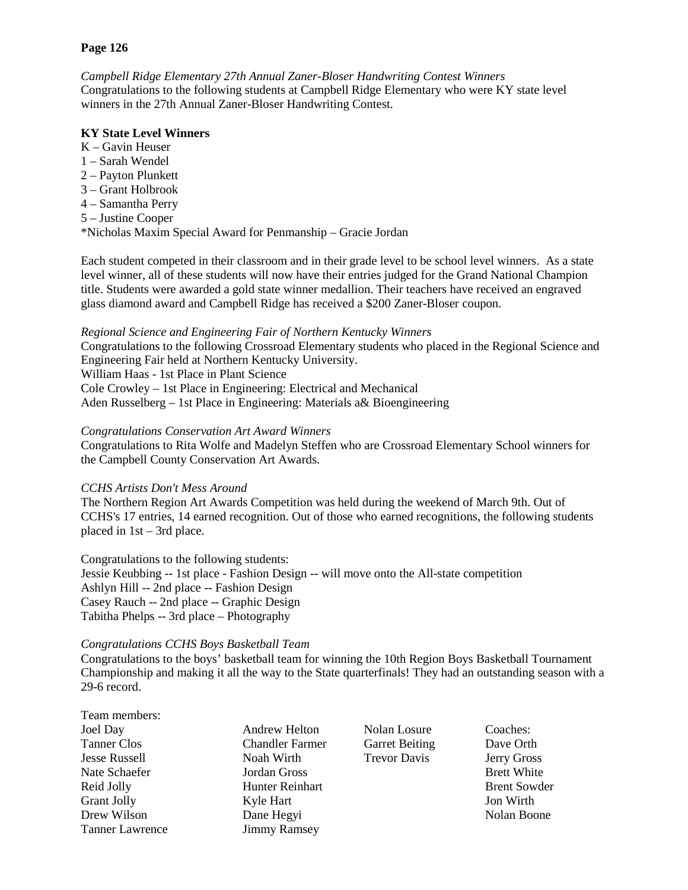### **Page 126**

*Campbell Ridge Elementary 27th Annual Zaner-Bloser Handwriting Contest Winners* Congratulations to the following students at Campbell Ridge Elementary who were KY state level winners in the 27th Annual Zaner-Bloser Handwriting Contest.

### **KY State Level Winners**

- K Gavin Heuser
- 1 Sarah Wendel
- 2 Payton Plunkett
- 3 Grant Holbrook
- 4 Samantha Perry
- 5 Justine Cooper

\*Nicholas Maxim Special Award for Penmanship – Gracie Jordan

Each student competed in their classroom and in their grade level to be school level winners. As a state level winner, all of these students will now have their entries judged for the Grand National Champion title. Students were awarded a gold state winner medallion. Their teachers have received an engraved glass diamond award and Campbell Ridge has received a \$200 Zaner-Bloser coupon.

## *Regional Science and Engineering Fair of Northern Kentucky Winners*

Congratulations to the following Crossroad Elementary students who placed in the Regional Science and Engineering Fair held at Northern Kentucky University.

William Haas - 1st Place in Plant Science

Cole Crowley – 1st Place in Engineering: Electrical and Mechanical

Aden Russelberg – 1st Place in Engineering: Materials a& Bioengineering

## *Congratulations Conservation Art Award Winners*

Congratulations to Rita Wolfe and Madelyn Steffen who are Crossroad Elementary School winners for the Campbell County Conservation Art Awards.

# *CCHS Artists Don't Mess Around*

The Northern Region Art Awards Competition was held during the weekend of March 9th. Out of CCHS's 17 entries, 14 earned recognition. Out of those who earned recognitions, the following students placed in 1st – 3rd place.

Congratulations to the following students: Jessie Keubbing -- 1st place - Fashion Design -- will move onto the All-state competition Ashlyn Hill -- 2nd place -- Fashion Design Casey Rauch -- 2nd place -- Graphic Design Tabitha Phelps -- 3rd place – Photography

#### *Congratulations CCHS Boys Basketball Team*

Congratulations to the boys' basketball team for winning the 10th Region Boys Basketball Tournament Championship and making it all the way to the State quarterfinals! They had an outstanding season with a 29-6 record.

- Team members: Joel Day Andrew Helton Nolan Losure Coaches: Tanner Clos Chandler Farmer Garret Beiting Dave Orth Jesse Russell Noah Wirth Trevor Davis Jerry Gross Nate Schaefer **Iordan Gross** Brett White Brett White Reid Jolly **Hunter Reinhart** Brent Sowder Grant Jolly **Solution Community Community** Kyle Hart **Solution Community Community Community** Jon Wirth Drew Wilson **Dane Hegyi** Nolan Boone Tanner Lawrence Jimmy Ramsey
	-
- 
-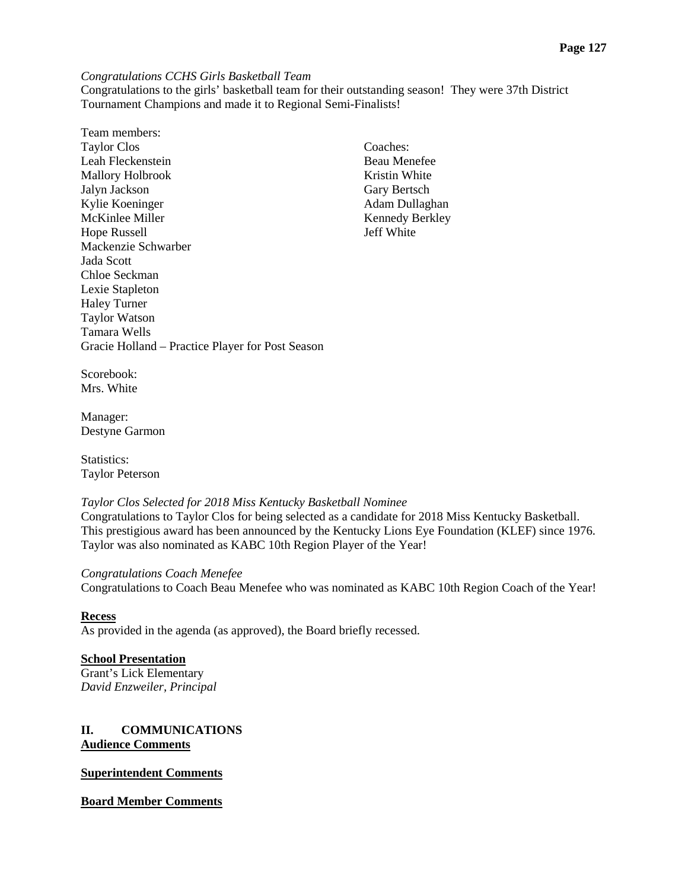*Congratulations CCHS Girls Basketball Team*

Congratulations to the girls' basketball team for their outstanding season! They were 37th District Tournament Champions and made it to Regional Semi-Finalists!

Team members: Taylor Clos Coaches: Leah Fleckenstein Beau Menefee Mallory Holbrook Kristin White Jalyn Jackson Gary Bertsch Kylie Koeninger Adam Dullaghan McKinlee Miller Kennedy Berkley<br>
Hope Russell Server Note and Server Allen Server Allen Server Allen Server Allen Server Allen Server Allen Server Allen Server Allen Server Allen Server Allen Server Allen Server Allen Serv Hope Russell Mackenzie Schwarber Jada Scott Chloe Seckman Lexie Stapleton Haley Turner Taylor Watson Tamara Wells Gracie Holland – Practice Player for Post Season

Scorebook: Mrs. White

Manager: Destyne Garmon

Statistics<sup>.</sup> Taylor Peterson

#### *Taylor Clos Selected for 2018 Miss Kentucky Basketball Nominee*

Congratulations to Taylor Clos for being selected as a candidate for 2018 Miss Kentucky Basketball. This prestigious award has been announced by the Kentucky Lions Eye Foundation (KLEF) since 1976. Taylor was also nominated as KABC 10th Region Player of the Year!

#### *Congratulations Coach Menefee*

Congratulations to Coach Beau Menefee who was nominated as KABC 10th Region Coach of the Year!

#### **Recess**

As provided in the agenda (as approved), the Board briefly recessed.

#### **School Presentation**

Grant's Lick Elementary *David Enzweiler, Principal*

## **II. COMMUNICATIONS Audience Comments**

#### **Superintendent Comments**

**Board Member Comments**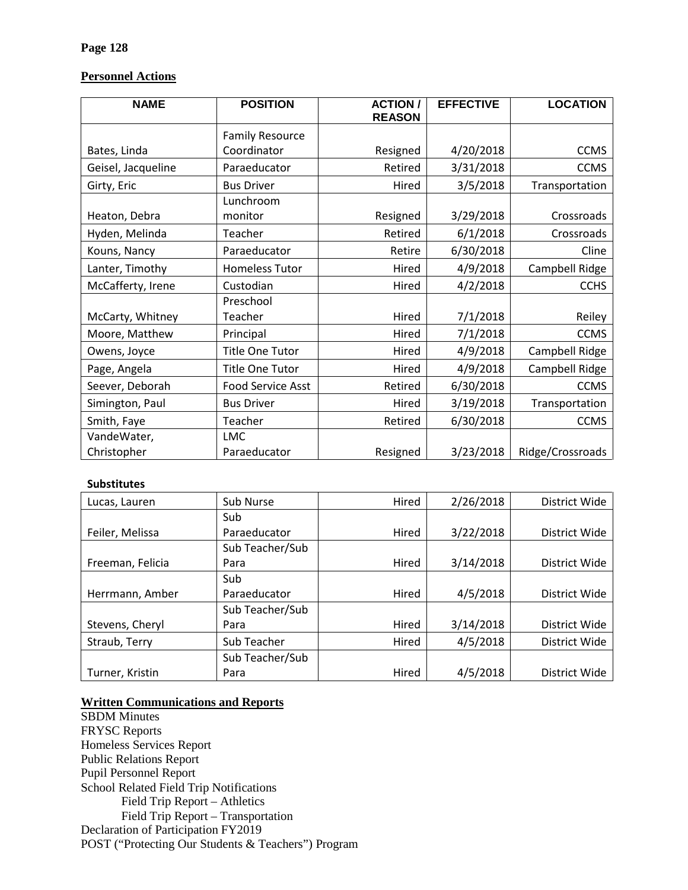# **Personnel Actions**

| <b>NAME</b>        | <b>POSITION</b><br><b>ACTION/</b><br><b>REASON</b> |                    | <b>EFFECTIVE</b> | <b>LOCATION</b>  |
|--------------------|----------------------------------------------------|--------------------|------------------|------------------|
|                    | <b>Family Resource</b>                             |                    |                  |                  |
| Bates, Linda       | Coordinator                                        | Resigned           | 4/20/2018        | <b>CCMS</b>      |
| Geisel, Jacqueline | Paraeducator                                       | Retired            | 3/31/2018        | <b>CCMS</b>      |
| Girty, Eric        | <b>Bus Driver</b>                                  | Hired              | 3/5/2018         | Transportation   |
|                    | Lunchroom                                          |                    |                  |                  |
| Heaton, Debra      | monitor                                            | Resigned           | 3/29/2018        | Crossroads       |
| Hyden, Melinda     | Teacher                                            | Retired            | 6/1/2018         | Crossroads       |
| Kouns, Nancy       | Paraeducator                                       | Retire             | 6/30/2018        | Cline            |
| Lanter, Timothy    | <b>Homeless Tutor</b>                              | Hired              | 4/9/2018         | Campbell Ridge   |
| McCafferty, Irene  | Custodian                                          | Hired              | 4/2/2018         | <b>CCHS</b>      |
|                    | Preschool                                          |                    |                  |                  |
| McCarty, Whitney   | Teacher                                            | Hired              | 7/1/2018         | Reiley           |
| Moore, Matthew     | Principal                                          | Hired              | 7/1/2018         | <b>CCMS</b>      |
| Owens, Joyce       | <b>Title One Tutor</b>                             | Hired              | 4/9/2018         | Campbell Ridge   |
| Page, Angela       | Title One Tutor                                    | Hired              | 4/9/2018         | Campbell Ridge   |
| Seever, Deborah    | <b>Food Service Asst</b>                           | Retired            | 6/30/2018        | <b>CCMS</b>      |
| Simington, Paul    | <b>Bus Driver</b>                                  | 3/19/2018<br>Hired |                  | Transportation   |
| Smith, Faye        | Teacher                                            | Retired            | 6/30/2018        | <b>CCMS</b>      |
| VandeWater,        | <b>LMC</b>                                         |                    |                  |                  |
| Christopher        | Paraeducator                                       | Resigned           | 3/23/2018        | Ridge/Crossroads |

### **Substitutes**

| Lucas, Lauren    | Sub Nurse       | Hired | 2/26/2018 | District Wide |
|------------------|-----------------|-------|-----------|---------------|
|                  | Sub             |       |           |               |
| Feiler, Melissa  | Paraeducator    | Hired | 3/22/2018 | District Wide |
|                  | Sub Teacher/Sub |       |           |               |
| Freeman, Felicia | Para            | Hired | 3/14/2018 | District Wide |
|                  | Sub             |       |           |               |
| Herrmann, Amber  | Paraeducator    | Hired | 4/5/2018  | District Wide |
|                  | Sub Teacher/Sub |       |           |               |
| Stevens, Cheryl  | Para            | Hired | 3/14/2018 | District Wide |
| Straub, Terry    | Sub Teacher     | Hired | 4/5/2018  | District Wide |
|                  | Sub Teacher/Sub |       |           |               |
| Turner, Kristin  | Para            | Hired | 4/5/2018  | District Wide |

# **Written Communications and Reports**

SBDM Minutes FRYSC Reports Homeless Services Report Public Relations Report Pupil Personnel Report School Related Field Trip Notifications Field Trip Report – Athletics Field Trip Report – Transportation Declaration of Participation FY2019 POST ("Protecting Our Students & Teachers") Program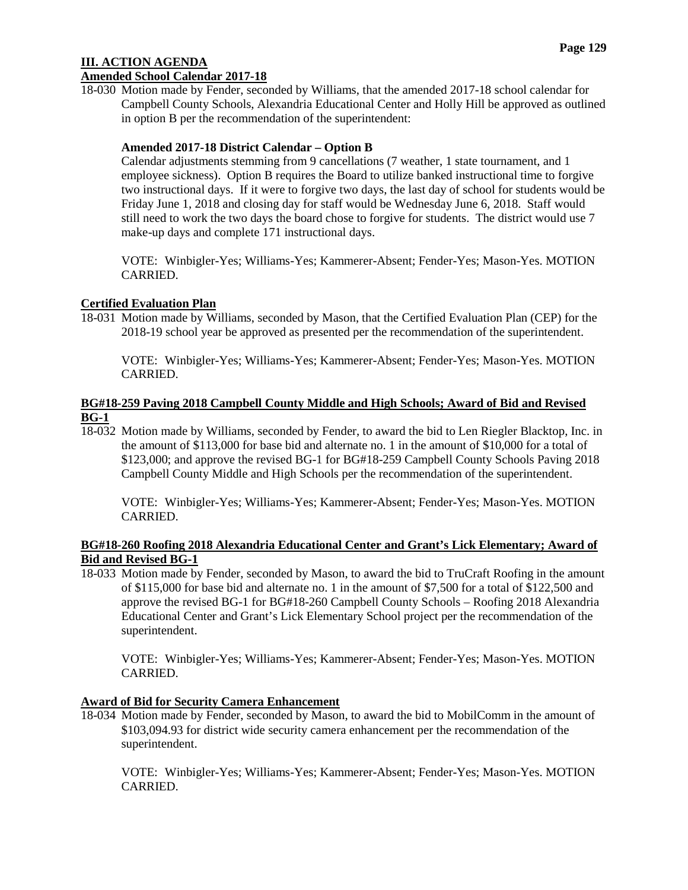### **III. ACTION AGENDA Amended School Calendar 2017-18**

18-030 Motion made by Fender, seconded by Williams, that the amended 2017-18 school calendar for Campbell County Schools, Alexandria Educational Center and Holly Hill be approved as outlined in option B per the recommendation of the superintendent:

## **Amended 2017-18 District Calendar – Option B**

Calendar adjustments stemming from 9 cancellations (7 weather, 1 state tournament, and 1 employee sickness). Option B requires the Board to utilize banked instructional time to forgive two instructional days. If it were to forgive two days, the last day of school for students would be Friday June 1, 2018 and closing day for staff would be Wednesday June 6, 2018. Staff would still need to work the two days the board chose to forgive for students. The district would use 7 make-up days and complete 171 instructional days.

VOTE: Winbigler-Yes; Williams-Yes; Kammerer-Absent; Fender-Yes; Mason-Yes. MOTION CARRIED.

## **Certified Evaluation Plan**

18-031 Motion made by Williams, seconded by Mason, that the Certified Evaluation Plan (CEP) for the 2018-19 school year be approved as presented per the recommendation of the superintendent.

VOTE: Winbigler-Yes; Williams-Yes; Kammerer-Absent; Fender-Yes; Mason-Yes. MOTION CARRIED.

### **BG#18-259 Paving 2018 Campbell County Middle and High Schools; Award of Bid and Revised BG-1**

18-032 Motion made by Williams, seconded by Fender, to award the bid to Len Riegler Blacktop, Inc. in the amount of \$113,000 for base bid and alternate no. 1 in the amount of \$10,000 for a total of \$123,000; and approve the revised BG-1 for BG#18-259 Campbell County Schools Paving 2018 Campbell County Middle and High Schools per the recommendation of the superintendent.

VOTE: Winbigler-Yes; Williams-Yes; Kammerer-Absent; Fender-Yes; Mason-Yes. MOTION CARRIED.

### **BG#18-260 Roofing 2018 Alexandria Educational Center and Grant's Lick Elementary; Award of Bid and Revised BG-1**

18-033 Motion made by Fender, seconded by Mason, to award the bid to TruCraft Roofing in the amount of \$115,000 for base bid and alternate no. 1 in the amount of \$7,500 for a total of \$122,500 and approve the revised BG-1 for BG#18-260 Campbell County Schools – Roofing 2018 Alexandria Educational Center and Grant's Lick Elementary School project per the recommendation of the superintendent.

VOTE: Winbigler-Yes; Williams-Yes; Kammerer-Absent; Fender-Yes; Mason-Yes. MOTION CARRIED.

#### **Award of Bid for Security Camera Enhancement**

18-034 Motion made by Fender, seconded by Mason, to award the bid to MobilComm in the amount of \$103,094.93 for district wide security camera enhancement per the recommendation of the superintendent.

VOTE: Winbigler-Yes; Williams-Yes; Kammerer-Absent; Fender-Yes; Mason-Yes. MOTION CARRIED.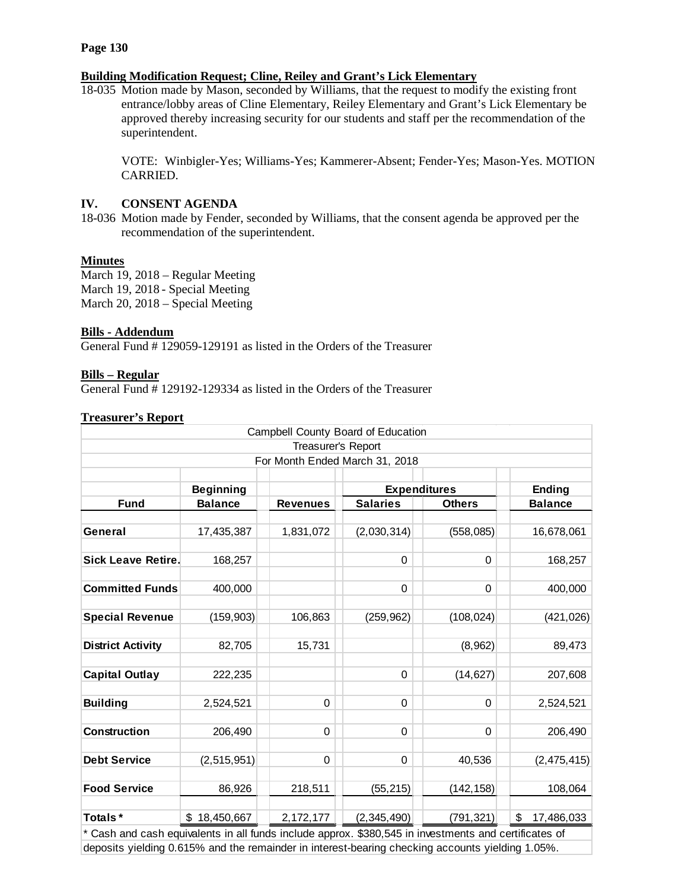#### **Page 130**

#### **Building Modification Request; Cline, Reiley and Grant's Lick Elementary**

18-035 Motion made by Mason, seconded by Williams, that the request to modify the existing front entrance/lobby areas of Cline Elementary, Reiley Elementary and Grant's Lick Elementary be approved thereby increasing security for our students and staff per the recommendation of the superintendent.

VOTE: Winbigler-Yes; Williams-Yes; Kammerer-Absent; Fender-Yes; Mason-Yes. MOTION CARRIED.

# **IV. CONSENT AGENDA**

18-036 Motion made by Fender, seconded by Williams, that the consent agenda be approved per the recommendation of the superintendent.

#### **Minutes**

March 19, 2018 – Regular Meeting March 19, 2018 - Special Meeting March 20, 2018 – Special Meeting

#### **Bills - Addendum**

General Fund # 129059-129191 as listed in the Orders of the Treasurer

#### **Bills – Regular**

General Fund # 129192-129334 as listed in the Orders of the Treasurer

#### **Treasurer's Report**

|                                                                                                       |                  |                    | Campbell County Board of Education |               |                  |
|-------------------------------------------------------------------------------------------------------|------------------|--------------------|------------------------------------|---------------|------------------|
|                                                                                                       |                  | Treasurer's Report |                                    |               |                  |
|                                                                                                       |                  |                    | For Month Ended March 31, 2018     |               |                  |
|                                                                                                       |                  |                    |                                    |               |                  |
|                                                                                                       | <b>Beginning</b> |                    | <b>Expenditures</b>                |               | <b>Ending</b>    |
| <b>Fund</b>                                                                                           | <b>Balance</b>   | <b>Revenues</b>    | <b>Salaries</b>                    | <b>Others</b> | <b>Balance</b>   |
|                                                                                                       |                  |                    |                                    |               |                  |
| General                                                                                               | 17,435,387       | 1,831,072          | (2,030,314)                        | (558, 085)    | 16,678,061       |
|                                                                                                       |                  |                    |                                    |               |                  |
| <b>Sick Leave Retire.</b>                                                                             | 168,257          |                    | 0                                  | $\Omega$      | 168,257          |
|                                                                                                       |                  |                    |                                    |               |                  |
| <b>Committed Funds</b>                                                                                | 400,000          |                    | 0                                  | 0             | 400,000          |
|                                                                                                       |                  |                    |                                    |               |                  |
| <b>Special Revenue</b>                                                                                | (159, 903)       | 106,863            | (259, 962)                         | (108, 024)    | (421, 026)       |
|                                                                                                       |                  |                    |                                    |               |                  |
| <b>District Activity</b>                                                                              | 82,705           | 15,731             |                                    | (8,962)       | 89,473           |
|                                                                                                       |                  |                    |                                    |               |                  |
| <b>Capital Outlay</b>                                                                                 | 222,235          |                    | $\mathbf 0$                        | (14, 627)     | 207,608          |
|                                                                                                       |                  |                    |                                    |               |                  |
| <b>Building</b>                                                                                       | 2,524,521        | 0                  | $\Omega$                           | $\Omega$      | 2,524,521        |
|                                                                                                       |                  |                    |                                    |               |                  |
| <b>Construction</b>                                                                                   | 206,490          | 0                  | 0                                  | 0             | 206,490          |
|                                                                                                       |                  |                    |                                    |               |                  |
| <b>Debt Service</b>                                                                                   | (2, 515, 951)    | 0                  | 0                                  | 40,536        | (2,475,415)      |
|                                                                                                       |                  |                    |                                    |               |                  |
| <b>Food Service</b>                                                                                   | 86,926           | 218,511            | (55, 215)                          | (142, 158)    | 108,064          |
|                                                                                                       |                  |                    |                                    |               |                  |
|                                                                                                       |                  |                    |                                    |               |                  |
| Totals*                                                                                               | \$18,450,667     | 2,172,177          | (2,345,490)                        | (791, 321)    | \$<br>17,486,033 |
| * Cash and cash equivalents in all funds include approx. \$380,545 in investments and certificates of |                  |                    |                                    |               |                  |

deposits yielding 0.615% and the remainder in interest-bearing checking accounts yielding 1.05%.